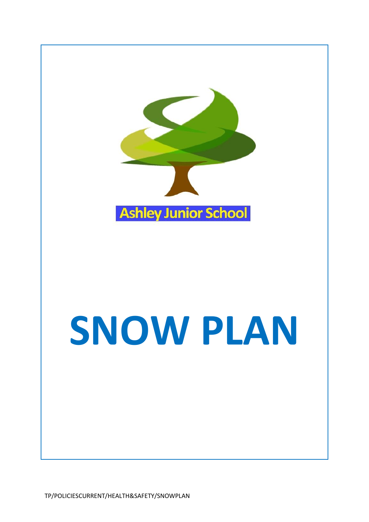

# **SNOW PLAN**

TP/POLICIESCURRENT/HEALTH&SAFETY/SNOWPLAN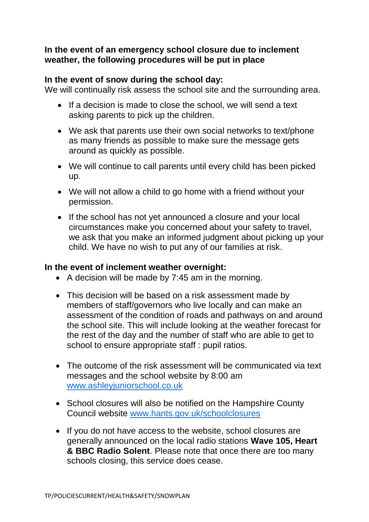### **In the event of an emergency school closure due to inclement weather, the following procedures will be put in place**

### **In the event of snow during the school day:**

We will continually risk assess the school site and the surrounding area.

- If a decision is made to close the school, we will send a text asking parents to pick up the children.
- We ask that parents use their own social networks to text/phone as many friends as possible to make sure the message gets around as quickly as possible.
- We will continue to call parents until every child has been picked up.
- We will not allow a child to go home with a friend without your permission.
- If the school has not yet announced a closure and your local circumstances make you concerned about your safety to travel, we ask that you make an informed judgment about picking up your child. We have no wish to put any of our families at risk.

### **In the event of inclement weather overnight:**

- A decision will be made by 7:45 am in the morning.
- This decision will be based on a risk assessment made by members of staff/governors who live locally and can make an assessment of the condition of roads and pathways on and around the school site. This will include looking at the weather forecast for the rest of the day and the number of staff who are able to get to school to ensure appropriate staff : pupil ratios.
- The outcome of the risk assessment will be communicated via text messages and the school website by 8:00 am [www.ashleyjuniorschool.co.uk](http://www.ashleyjuniorschool.co.uk/)
- School closures will also be notified on the Hampshire County Council website [www.hants.gov.uk/schoolclosures](http://www.hants.gov.uk/schoolclosures)
- If you do not have access to the website, school closures are generally announced on the local radio stations **Wave 105, Heart & BBC Radio Solent**. Please note that once there are too many schools closing, this service does cease.